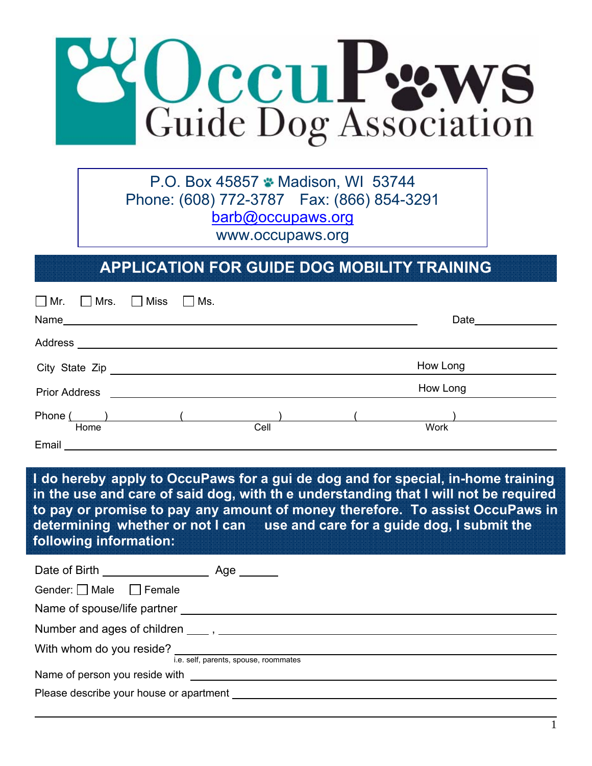

P.O. Box 45857 Madison, WI 53744 Phone: (608) 772-3787 Fax: (866) 854-3291 barb@occupaws.org www.occupaws.org

### **APPLICATION FOR GUIDE DOG MOBILITY TRAINING**

| $\Box$ Mr. $\Box$ Mrs. $\Box$ Miss                                | $\Box$ Ms. |          |
|-------------------------------------------------------------------|------------|----------|
|                                                                   |            |          |
| Address<br><u> 1980 - Jan Samuel Barbara, politik a politik (</u> |            |          |
| City State Zip<br><u>City State Zip</u>                           |            | How Long |
| <b>Prior Address</b>                                              |            | How Long |
| Phone (                                                           |            |          |
| Home                                                              | Cell       | Work     |
| Email                                                             |            |          |

**I do hereby apply to OccuPaws for a gui de dog and for special, in-home training in the use and care of said dog, with th e understanding that I will not be required to pay or promise to pay any amount of money therefore. To assist OccuPaws in determining whether or not I can use and care for a guide dog, I submit the following information:** 

| Gender: $\Box$ Male $\Box$ Female                   |                                       |
|-----------------------------------------------------|---------------------------------------|
|                                                     |                                       |
|                                                     |                                       |
| With whom do you reside?                            | i.e. self, parents, spouse, roommates |
|                                                     |                                       |
| Please describe your house or apartment ___________ |                                       |

 $\overline{a}$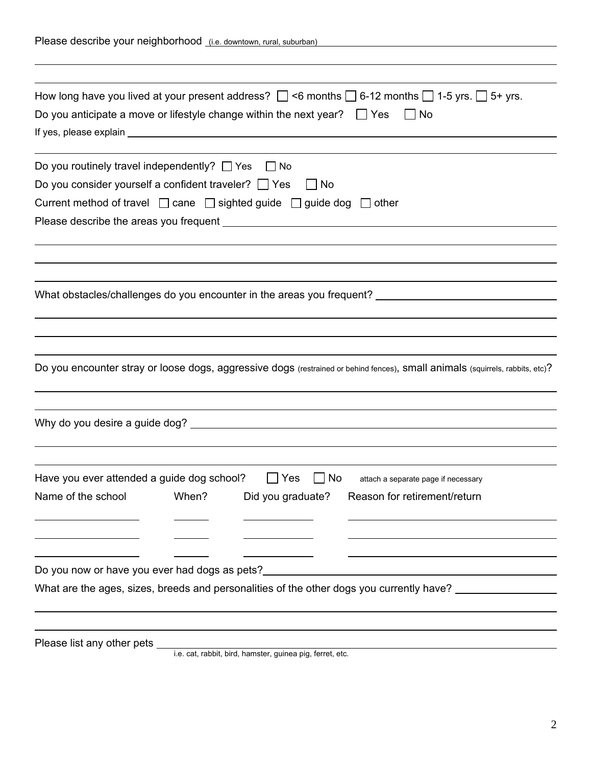| Please describe your neighborhood (i.e. downtown, rural, suburban)                      |       |                          |                                                                                                                                  |
|-----------------------------------------------------------------------------------------|-------|--------------------------|----------------------------------------------------------------------------------------------------------------------------------|
|                                                                                         |       |                          |                                                                                                                                  |
| Do you anticipate a move or lifestyle change within the next year? $\Box$ Yes           |       |                          | How long have you lived at your present address? $\Box$ <6 months $\Box$ 6-12 months $\Box$ 1-5 yrs. $\Box$ 5+ yrs.<br>$\Box$ No |
| Do you routinely travel independently? $\Box$ Yes $\Box$ No                             |       |                          |                                                                                                                                  |
| Do you consider yourself a confident traveler? Ves                                      |       | No                       |                                                                                                                                  |
| Current method of travel $\Box$ cane $\Box$ sighted guide $\Box$ guide dog $\Box$ other |       |                          |                                                                                                                                  |
|                                                                                         |       |                          |                                                                                                                                  |
|                                                                                         |       |                          |                                                                                                                                  |
|                                                                                         |       |                          |                                                                                                                                  |
|                                                                                         |       |                          | What obstacles/challenges do you encounter in the areas you frequent? ______________________________                             |
|                                                                                         |       |                          |                                                                                                                                  |
|                                                                                         |       |                          |                                                                                                                                  |
|                                                                                         |       |                          | Do you encounter stray or loose dogs, aggressive dogs (restrained or behind fences), small animals (squirrels, rabbits, etc)?    |
|                                                                                         |       |                          |                                                                                                                                  |
|                                                                                         |       |                          |                                                                                                                                  |
|                                                                                         |       |                          |                                                                                                                                  |
| Have you ever attended a guide dog school?                                              |       | $\Box$ No<br>$\vert$ Yes | attach a separate page if necessary                                                                                              |
| Name of the school                                                                      | When? | Did you graduate?        | Reason for retirement/return                                                                                                     |
|                                                                                         |       |                          |                                                                                                                                  |
|                                                                                         |       |                          |                                                                                                                                  |
|                                                                                         |       |                          | Do you now or have you ever had dogs as pets?___________________________________                                                 |
|                                                                                         |       |                          | What are the ages, sizes, breeds and personalities of the other dogs you currently have? _________________                       |
|                                                                                         |       |                          |                                                                                                                                  |
|                                                                                         |       |                          |                                                                                                                                  |
|                                                                                         |       |                          |                                                                                                                                  |

i.e. cat, rabbit, bird, hamster, guinea pig, ferret, etc.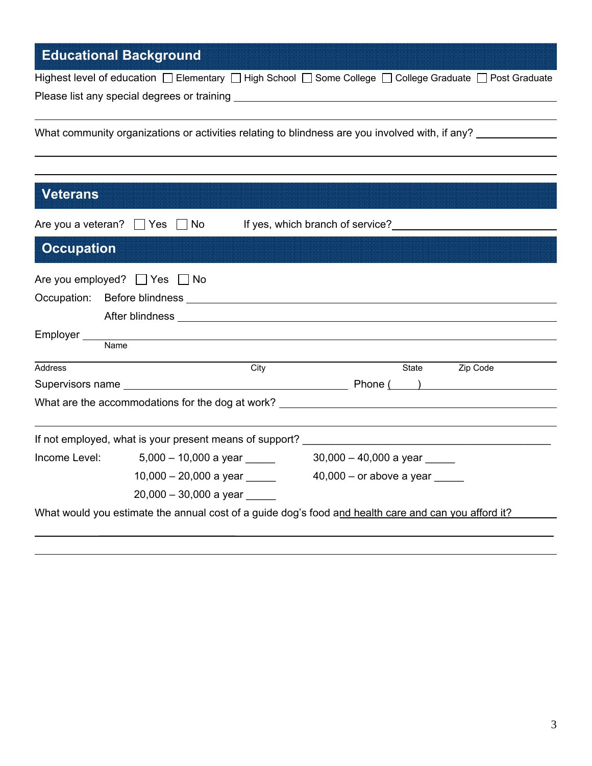# **Educational Background**

 $\overline{a}$ 

 $\overline{a}$ 

| Highest level of education $\Box$ Elementary $\Box$ High School $\Box$ Some College $\Box$ College Graduate $\Box$ Post Graduate |  |  |
|----------------------------------------------------------------------------------------------------------------------------------|--|--|
| Please list any special degrees or training                                                                                      |  |  |

What community organizations or activities relating to blindness are you involved with, if any?

| <b>Veterans</b>   |                                                                                                                                                                                                                                |                                                                                                      |                   |
|-------------------|--------------------------------------------------------------------------------------------------------------------------------------------------------------------------------------------------------------------------------|------------------------------------------------------------------------------------------------------|-------------------|
|                   | Are you a veteran? $\Box$ Yes $\Box$ No                                                                                                                                                                                        | If yes, which branch of service?<br><u>[</u> [16] yes, which branch of service?                      |                   |
| <b>Occupation</b> |                                                                                                                                                                                                                                |                                                                                                      |                   |
|                   | Are you employed? $\Box$ Yes $\Box$ No                                                                                                                                                                                         |                                                                                                      |                   |
|                   |                                                                                                                                                                                                                                |                                                                                                      |                   |
|                   |                                                                                                                                                                                                                                |                                                                                                      |                   |
| Employer ___      | Name and the contract of the contract of the contract of the contract of the contract of the contract of the contract of the contract of the contract of the contract of the contract of the contract of the contract of the c |                                                                                                      |                   |
| Address           |                                                                                                                                                                                                                                | City                                                                                                 | State<br>Zip Code |
|                   |                                                                                                                                                                                                                                |                                                                                                      |                   |
|                   |                                                                                                                                                                                                                                | What are the accommodations for the dog at work? ________________________________                    |                   |
|                   | If not employed, what is your present means of support?                                                                                                                                                                        |                                                                                                      |                   |
|                   | Income Level: $5,000 - 10,000$ a year                                                                                                                                                                                          | $30,000 - 40,000$ a year _______                                                                     |                   |
|                   | 10,000 - 20,000 a year ______                                                                                                                                                                                                  | $40,000 -$ or above a year                                                                           |                   |
|                   | $20,000 - 30,000$ a year ______                                                                                                                                                                                                |                                                                                                      |                   |
|                   |                                                                                                                                                                                                                                | What would you estimate the annual cost of a guide dog's food and health care and can you afford it? |                   |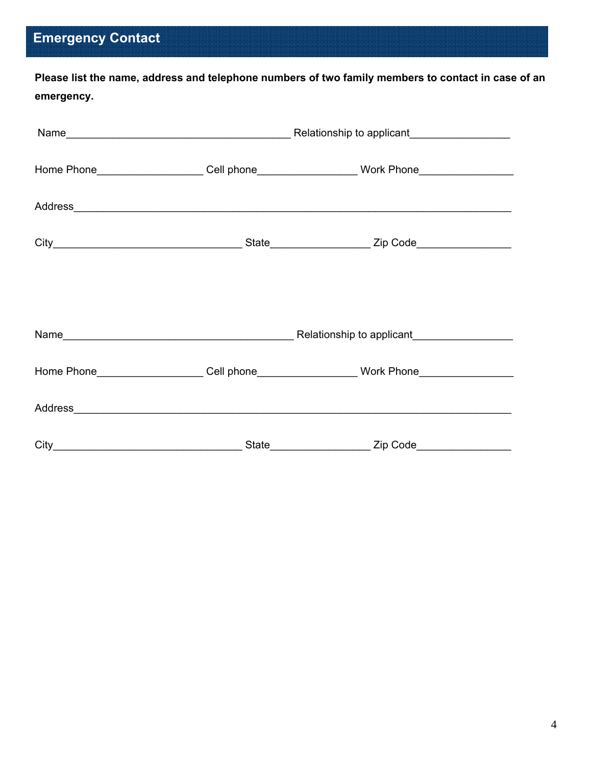# **Emergency Contact**

**Please list the name, address and telephone numbers of two family members to contact in case of an emergency.** 

|  | Home Phone_____________________Cell phone_______________________Work Phone__________________________ |  |
|--|------------------------------------------------------------------------------------------------------|--|
|  |                                                                                                      |  |
|  |                                                                                                      |  |
|  |                                                                                                      |  |
|  |                                                                                                      |  |
|  | Home Phone____________________Cell phone_____________________Work Phone________________              |  |
|  |                                                                                                      |  |
|  |                                                                                                      |  |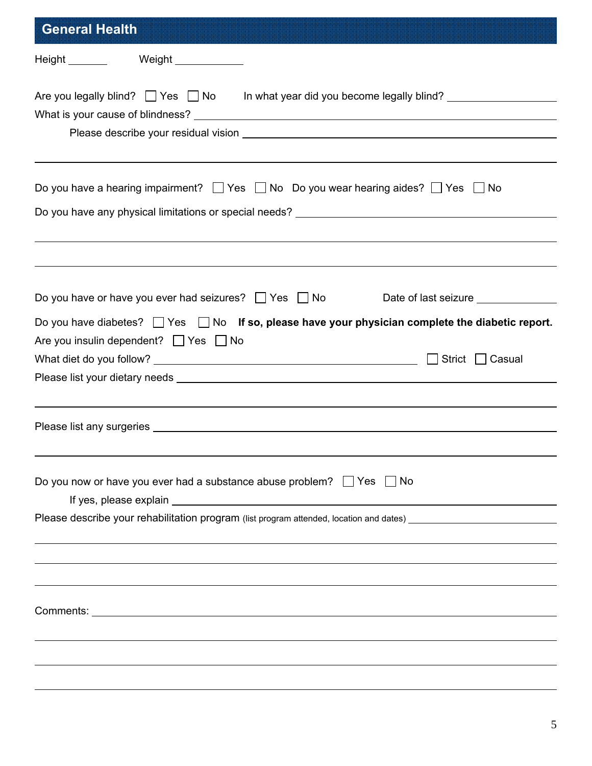| <b>General Health</b>                                                                                                                                                                                                                |
|--------------------------------------------------------------------------------------------------------------------------------------------------------------------------------------------------------------------------------------|
| Height Weight Neight                                                                                                                                                                                                                 |
|                                                                                                                                                                                                                                      |
|                                                                                                                                                                                                                                      |
| Do you have a hearing impairment? $\Box$ Yes $\Box$ No Do you wear hearing aides? $\Box$ Yes $\Box$ No                                                                                                                               |
|                                                                                                                                                                                                                                      |
|                                                                                                                                                                                                                                      |
| Do you have or have you ever had seizures? $\Box$ Yes $\Box$ No<br>Date of last seizure _______________                                                                                                                              |
| Do you have diabetes? $\Box$ Yes $\Box$ No If so, please have your physician complete the diabetic report.                                                                                                                           |
| Are you insulin dependent? $\Box$ Yes $\Box$ No                                                                                                                                                                                      |
|                                                                                                                                                                                                                                      |
|                                                                                                                                                                                                                                      |
|                                                                                                                                                                                                                                      |
| Please list any surgeries <b>the contract of the contract of the contract of the contract of the contract of the contract of the contract of the contract of the contract of the contract of the contract of the contract of the</b> |
|                                                                                                                                                                                                                                      |
| Do you now or have you ever had a substance abuse problem? $\Box$ Yes $\Box$ No                                                                                                                                                      |
| Please describe your rehabilitation program (list program attended, location and dates) ______________________                                                                                                                       |
|                                                                                                                                                                                                                                      |
|                                                                                                                                                                                                                                      |
|                                                                                                                                                                                                                                      |
|                                                                                                                                                                                                                                      |
|                                                                                                                                                                                                                                      |
|                                                                                                                                                                                                                                      |
|                                                                                                                                                                                                                                      |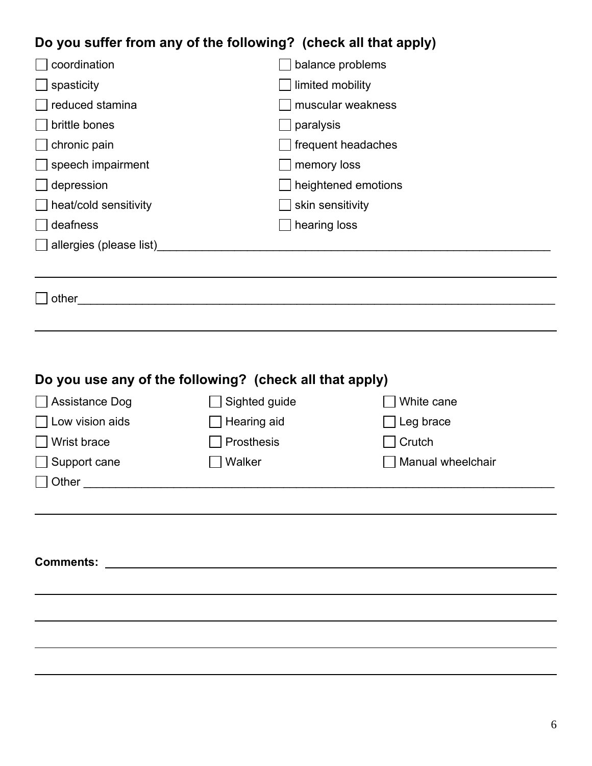## **Do you suffer from any of the following? (check all that apply)**

| coordination             | balance problems    |
|--------------------------|---------------------|
| spasticity               | limited mobility    |
| reduced stamina          | muscular weakness   |
| brittle bones            | paralysis           |
| chronic pain             | frequent headaches  |
| $\Box$ speech impairment | memory loss         |
| depression               | heightened emotions |
| heat/cold sensitivity    | skin sensitivity    |
| deafness                 | hearing loss        |
| allergies (please list)  |                     |
|                          |                     |
| other                    |                     |

### **Do you use any of the following? (check all that apply)**

 $\overline{a}$ 

| Assistance Dog         | Sighted guide                                                                                                        | White cane        |
|------------------------|----------------------------------------------------------------------------------------------------------------------|-------------------|
| Low vision aids        | $\Box$ Hearing aid                                                                                                   | Leg brace         |
| Wrist brace            | Prosthesis                                                                                                           | Crutch            |
| Support cane<br>$\Box$ | Walker                                                                                                               | Manual wheelchair |
| Other                  |                                                                                                                      |                   |
|                        |                                                                                                                      |                   |
|                        |                                                                                                                      |                   |
|                        |                                                                                                                      |                   |
| <b>Comments:</b>       | <u> 1980 - Jan Stein Stein Stein Stein Stein Stein Stein Stein Stein Stein Stein Stein Stein Stein Stein Stein S</u> |                   |
|                        |                                                                                                                      |                   |
|                        |                                                                                                                      |                   |
|                        |                                                                                                                      |                   |
|                        |                                                                                                                      |                   |
|                        |                                                                                                                      |                   |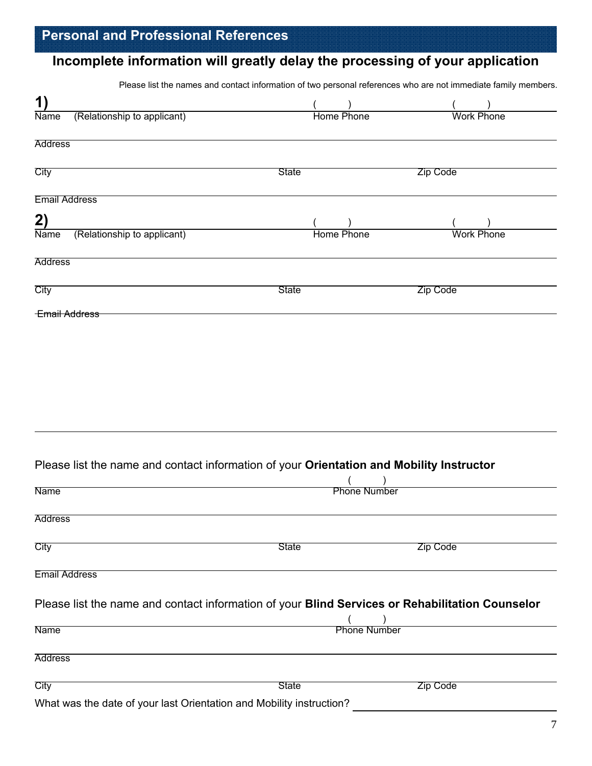### **Incomplete information will greatly delay the processing of your application**

Please list the names and contact information of two personal references who are not immediate family members.

| 1)                                         |       |                   |                   |  |
|--------------------------------------------|-------|-------------------|-------------------|--|
| (Relationship to applicant)<br><b>Name</b> |       | <b>Home Phone</b> | <b>Work Phone</b> |  |
| <b>Address</b>                             |       |                   |                   |  |
| City                                       | State |                   | Zip Code          |  |
| <b>Email Address</b>                       |       |                   |                   |  |
| 2)                                         |       |                   |                   |  |
| (Relationship to applicant)<br><b>Name</b> |       | <b>Home Phone</b> | <b>Work Phone</b> |  |
| <b>Address</b>                             |       |                   |                   |  |
| City<br><b>Email Address</b>               | State |                   | Zip Code          |  |
|                                            |       |                   |                   |  |

### Please list the name and contact information of your **Orientation and Mobility Instructor**

| <b>Name</b>                                                                                     |              | <b>Phone Number</b> |  |
|-------------------------------------------------------------------------------------------------|--------------|---------------------|--|
| <b>Address</b>                                                                                  |              |                     |  |
| City                                                                                            | <b>State</b> | <b>Zip Code</b>     |  |
| <b>Email Address</b>                                                                            |              |                     |  |
| Please list the name and contact information of your Blind Services or Rehabilitation Counselor |              |                     |  |
| <b>Name</b>                                                                                     |              | <b>Phone Number</b> |  |
|                                                                                                 |              |                     |  |
| <b>Address</b>                                                                                  |              |                     |  |
| City                                                                                            | <b>State</b> | Zip Code            |  |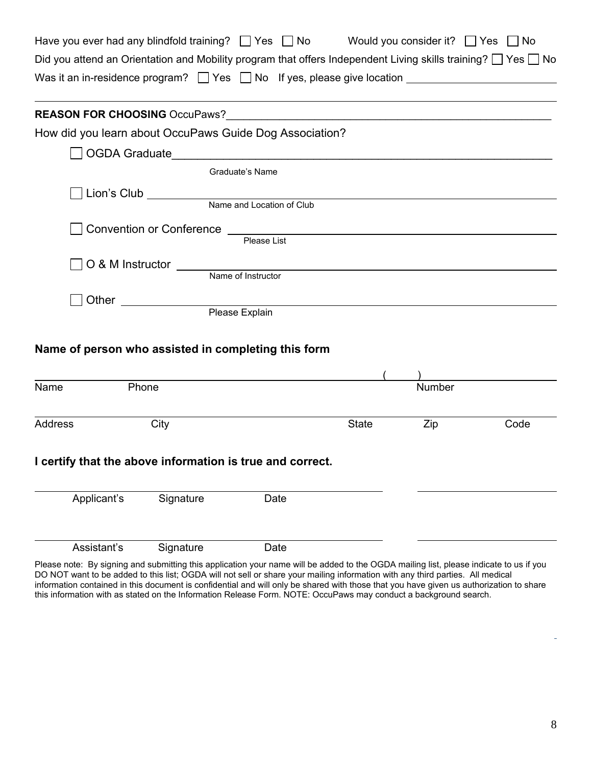| Have you ever had any blindfold training? $\Box$ Yes $\Box$ No                    | Would you consider it? $\Box$ Yes $\Box$ No                                                                             |
|-----------------------------------------------------------------------------------|-------------------------------------------------------------------------------------------------------------------------|
|                                                                                   | Did you attend an Orientation and Mobility program that offers Independent Living skills training? $\Box$ Yes $\Box$ No |
| Was it an in-residence program? $\Box$ Yes $\Box$ No If yes, please give location |                                                                                                                         |

| <b>REASON FOR CHOOSING OccuPaws?</b> |                                                                |
|--------------------------------------|----------------------------------------------------------------|
|                                      | How did you learn about OccuPaws Guide Dog Association?        |
| OGDA Graduate                        | <u> 1989 - Jan Berlin, margaret eta biztanleria (h. 1989).</u> |
|                                      | Graduate's Name                                                |
| $\Box$ Lion's Club ___________       |                                                                |
|                                      | Name and Location of Club                                      |
| Convention or Conference             |                                                                |
|                                      | Please List                                                    |
| O & M Instructor COMMOD SUMPARE      |                                                                |
|                                      | Name of Instructor                                             |
| Other                                |                                                                |

Please Explain

#### **Name of person who assisted in completing this form**

| Name        | Phone                                                     |      |              | Number |      |
|-------------|-----------------------------------------------------------|------|--------------|--------|------|
|             |                                                           |      |              |        |      |
| Address     | City                                                      |      | <b>State</b> | Zip    | Code |
|             | I certify that the above information is true and correct. |      |              |        |      |
| Applicant's | Signature                                                 | Date |              |        |      |
| Assistant's | Signature                                                 | Date |              |        |      |

Please note: By signing and submitting this application your name will be added to the OGDA mailing list, please indicate to us if you DO NOT want to be added to this list; OGDA will not sell or share your mailing information with any third parties. All medical information contained in this document is confidential and will only be shared with those that you have given us authorization to share this information with as stated on the Information Release Form. NOTE: OccuPaws may conduct a background search.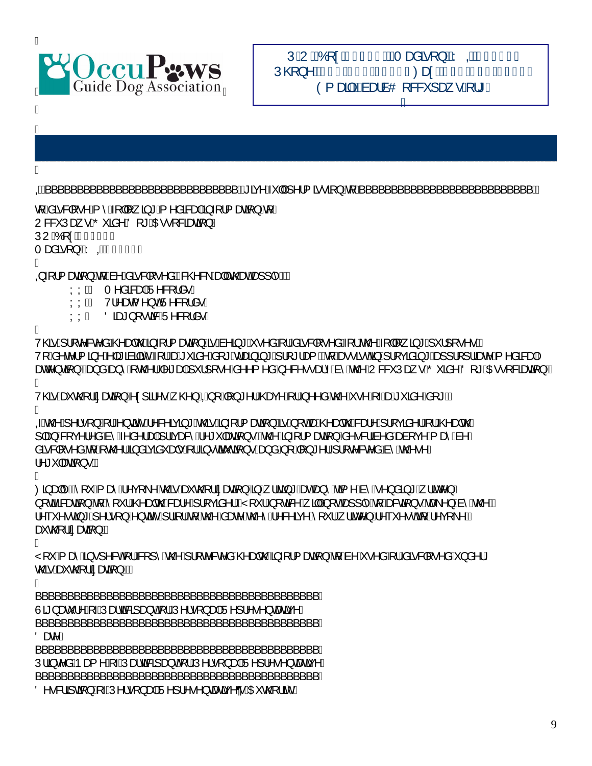

BBBBBBBBBBBBBBBBBBBBBBBBBBBBBBBBBBBBBBBBBBBB U¦ã, c^å AÞæ{^A[-AUæloã&ã]æ}o A¦¦AU^¦•[}æ|AU^]¦^•^}œæãç^/ BBBBBBBBBBBBBBBBBBBBBBBBBBBBBBBBBBBBBBBBBBBB

 $\overline{O}$  $\sim$  &  $3$   $\overline{a}$   $\}$   $\overline{A}$   $\overline{A}$  $\overline{V}$   $\cdot$   $\bullet$   $\overline{S}$   $\rightarrow$   $\overline{A}$   $\overline{A}$   $\overline{V}$   $\rightarrow$   $\overline{A}$   $\overline{V}$   $\rightarrow$   $\overline{A}$   $\overline{V}$   $\rightarrow$   $\overline{C}$   $\overline{C}$   $\overline{C}$   $\overline{C}$   $\overline{C}$   $\overline{C}$   $\overline{C$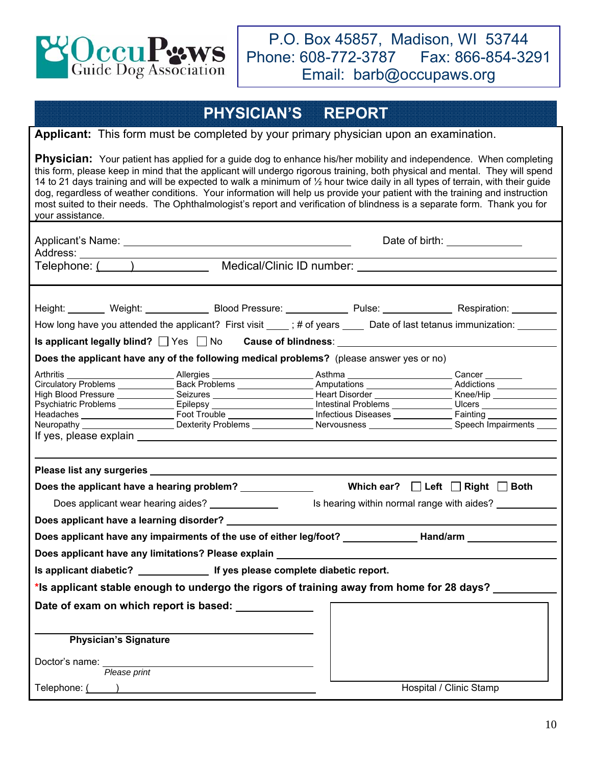

P.O. Box 45857, Madison, WI 53744 Phone: 608-772-3787 Fax: 866-854-3291 Email: barb@occupaws.org

## **PHYSICIAN'S REPORT**

#### **Applicant:** This form must be completed by your primary physician upon an examination.

**Physician:** Your patient has applied for a guide dog to enhance his/her mobility and independence. When completing this form, please keep in mind that the applicant will undergo rigorous training, both physical and mental. They will spend 14 to 21 days training and will be expected to walk a minimum of ½ hour twice daily in all types of terrain, with their guide dog, regardless of weather conditions. Your information will help us provide your patient with the training and instruction most suited to their needs. The Ophthalmologist's report and verification of blindness is a separate form. Thank you for your assistance.

| Address: ________________________                                                                                                                                                                                                                                                                                                                                                                                                                                                                                                                                                                                                                              | Date of birth: <u>New York Bate of birth:</u> |                                            |  |  |  |
|----------------------------------------------------------------------------------------------------------------------------------------------------------------------------------------------------------------------------------------------------------------------------------------------------------------------------------------------------------------------------------------------------------------------------------------------------------------------------------------------------------------------------------------------------------------------------------------------------------------------------------------------------------------|-----------------------------------------------|--------------------------------------------|--|--|--|
|                                                                                                                                                                                                                                                                                                                                                                                                                                                                                                                                                                                                                                                                |                                               |                                            |  |  |  |
|                                                                                                                                                                                                                                                                                                                                                                                                                                                                                                                                                                                                                                                                |                                               |                                            |  |  |  |
| Height: Weight: Weight: Blood Pressure: Network Pulse: Nespiration: Nespiration:                                                                                                                                                                                                                                                                                                                                                                                                                                                                                                                                                                               |                                               |                                            |  |  |  |
| How long have you attended the applicant? First visit ____; # of years _____ Date of last tetanus immunization: ______                                                                                                                                                                                                                                                                                                                                                                                                                                                                                                                                         |                                               |                                            |  |  |  |
|                                                                                                                                                                                                                                                                                                                                                                                                                                                                                                                                                                                                                                                                |                                               |                                            |  |  |  |
| Does the applicant have any of the following medical problems? (please answer yes or no)                                                                                                                                                                                                                                                                                                                                                                                                                                                                                                                                                                       |                                               |                                            |  |  |  |
| Arthritis __________________________Allergies _______________________Asthma ________________________Cancer _________<br>Circulatory Problems _______________Back Problems __________________Amputations ____________________Addictions ______________<br>High Blood Pressure _______________Seizures _________________________Heart Disorder _________________Knee/Hip ______________<br>Psychiatric Problems _______________Epilepsy _________________________Intestinal Problems ______________Ulcers _______________________<br>Neuropathy ______________________Dexterity Problems ______________Nervousness _____________________Speech Impairments _____ |                                               |                                            |  |  |  |
|                                                                                                                                                                                                                                                                                                                                                                                                                                                                                                                                                                                                                                                                |                                               |                                            |  |  |  |
|                                                                                                                                                                                                                                                                                                                                                                                                                                                                                                                                                                                                                                                                |                                               |                                            |  |  |  |
| Does applicant wear hearing aides? _____________                                                                                                                                                                                                                                                                                                                                                                                                                                                                                                                                                                                                               |                                               | Is hearing within normal range with aides? |  |  |  |
| Does applicant have a learning disorder? _____________                                                                                                                                                                                                                                                                                                                                                                                                                                                                                                                                                                                                         |                                               |                                            |  |  |  |
| Does applicant have any impairments of the use of either leg/foot? ______________ Hand/arm _______________                                                                                                                                                                                                                                                                                                                                                                                                                                                                                                                                                     |                                               |                                            |  |  |  |
| Does applicant have any limitations? Please explain ____________________________                                                                                                                                                                                                                                                                                                                                                                                                                                                                                                                                                                               |                                               |                                            |  |  |  |
|                                                                                                                                                                                                                                                                                                                                                                                                                                                                                                                                                                                                                                                                |                                               |                                            |  |  |  |
| *Is applicant stable enough to undergo the rigors of training away from home for 28 days?                                                                                                                                                                                                                                                                                                                                                                                                                                                                                                                                                                      |                                               |                                            |  |  |  |
| Date of exam on which report is based: _____________                                                                                                                                                                                                                                                                                                                                                                                                                                                                                                                                                                                                           |                                               |                                            |  |  |  |
|                                                                                                                                                                                                                                                                                                                                                                                                                                                                                                                                                                                                                                                                |                                               |                                            |  |  |  |
| <b>Physician's Signature</b>                                                                                                                                                                                                                                                                                                                                                                                                                                                                                                                                                                                                                                   |                                               |                                            |  |  |  |
|                                                                                                                                                                                                                                                                                                                                                                                                                                                                                                                                                                                                                                                                |                                               |                                            |  |  |  |
| Doctor's name:<br>Please print                                                                                                                                                                                                                                                                                                                                                                                                                                                                                                                                                                                                                                 |                                               |                                            |  |  |  |
|                                                                                                                                                                                                                                                                                                                                                                                                                                                                                                                                                                                                                                                                |                                               | Hospital / Clinic Stamp                    |  |  |  |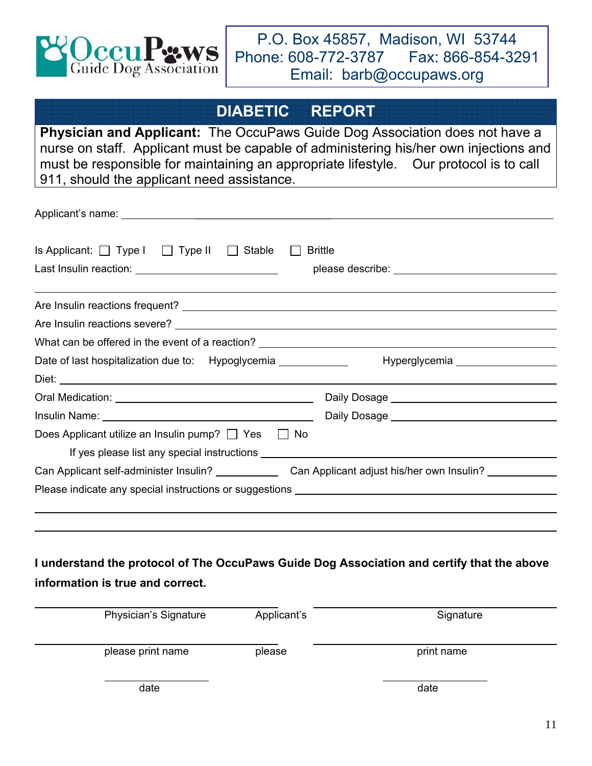

### **DIABETIC REPORT**

**Physician and Applicant:** The OccuPaws Guide Dog Association does not have a nurse on staff. Applicant must be capable of administering his/her own injections and must be responsible for maintaining an appropriate lifestyle. Our protocol is to call 911, should the applicant need assistance.

| Is Applicant: $\Box$ Type I $\Box$ Type II $\Box$ Stable                          | <b>Brittle</b> |
|-----------------------------------------------------------------------------------|----------------|
|                                                                                   |                |
|                                                                                   |                |
|                                                                                   |                |
| What can be offered in the event of a reaction? _________________________________ |                |
| Date of last hospitalization due to: Hypoglycemia _____________                   |                |
|                                                                                   |                |
|                                                                                   |                |
|                                                                                   |                |
| Does Applicant utilize an Insulin pump? $\Box$ Yes $\Box$ No                      |                |
|                                                                                   |                |
| Can Applicant self-administer Insulin? Can Applicant adjust his/her own Insulin?  |                |
|                                                                                   |                |
|                                                                                   |                |

### **I understand the protocol of The OccuPaws Guide Dog Association and certify that the above information is true and correct.**

| Physician's Signature | Applicant's | Signature  |
|-----------------------|-------------|------------|
| please print name     | please      | print name |
| date                  |             | date       |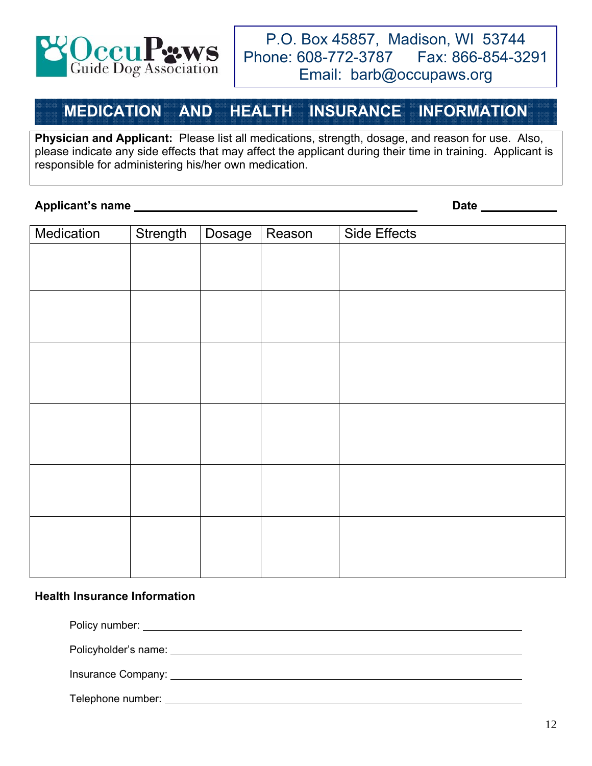

### **MEDICATION AND HEALTH INSURANCE INFORMATION**

**Physician and Applicant:** Please list all medications, strength, dosage, and reason for use. Also, please indicate any side effects that may affect the applicant during their time in training. Applicant is responsible for administering his/her own medication.

#### **Applicant's name Date**

| Medication | Strength | Dosage | Reason | Side Effects |
|------------|----------|--------|--------|--------------|
|            |          |        |        |              |
|            |          |        |        |              |
|            |          |        |        |              |
|            |          |        |        |              |
|            |          |        |        |              |
|            |          |        |        |              |
|            |          |        |        |              |
|            |          |        |        |              |
|            |          |        |        |              |
|            |          |        |        |              |
|            |          |        |        |              |
|            |          |        |        |              |
|            |          |        |        |              |
|            |          |        |        |              |
|            |          |        |        |              |
|            |          |        |        |              |
|            |          |        |        |              |

#### **Health Insurance Information**

Policy number:  $\blacksquare$ 

Policyholder's name:

Insurance Company: University of the Company:

Telephone number: